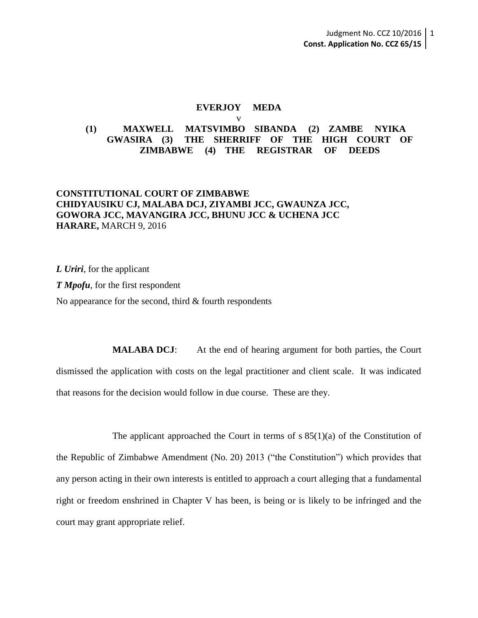#### **EVERJOY MEDA** v

# **(1) MAXWELL MATSVIMBO SIBANDA (2) ZAMBE NYIKA GWASIRA (3) THE SHERRIFF OF THE HIGH COURT OF ZIMBABWE (4) THE REGISTRAR OF DEEDS**

# **CONSTITUTIONAL COURT OF ZIMBABWE CHIDYAUSIKU CJ, MALABA DCJ, ZIYAMBI JCC, GWAUNZA JCC, GOWORA JCC, MAVANGIRA JCC, BHUNU JCC & UCHENA JCC HARARE,** MARCH 9, 2016

*L Uriri*, for the applicant

*T Mpofu*, for the first respondent

No appearance for the second, third & fourth respondents

**MALABA DCJ:** At the end of hearing argument for both parties, the Court dismissed the application with costs on the legal practitioner and client scale. It was indicated that reasons for the decision would follow in due course. These are they.

The applicant approached the Court in terms of  $s 85(1)(a)$  of the Constitution of the Republic of Zimbabwe Amendment (No. 20) 2013 ("the Constitution") which provides that any person acting in their own interests is entitled to approach a court alleging that a fundamental right or freedom enshrined in Chapter V has been, is being or is likely to be infringed and the court may grant appropriate relief.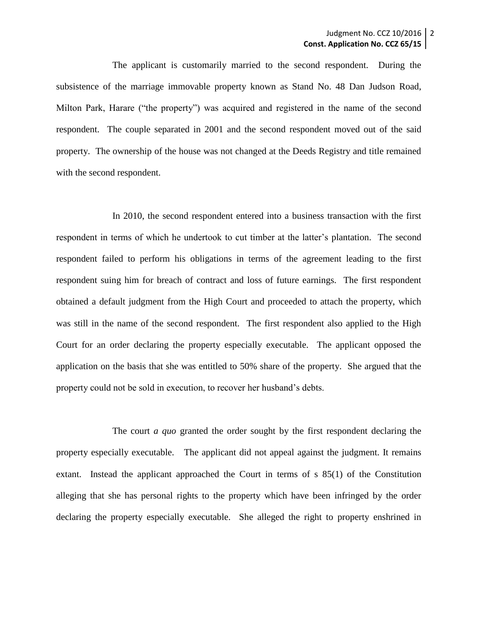The applicant is customarily married to the second respondent. During the subsistence of the marriage immovable property known as Stand No. 48 Dan Judson Road, Milton Park, Harare ("the property") was acquired and registered in the name of the second respondent. The couple separated in 2001 and the second respondent moved out of the said property. The ownership of the house was not changed at the Deeds Registry and title remained with the second respondent.

In 2010, the second respondent entered into a business transaction with the first respondent in terms of which he undertook to cut timber at the latter's plantation. The second respondent failed to perform his obligations in terms of the agreement leading to the first respondent suing him for breach of contract and loss of future earnings. The first respondent obtained a default judgment from the High Court and proceeded to attach the property, which was still in the name of the second respondent. The first respondent also applied to the High Court for an order declaring the property especially executable. The applicant opposed the application on the basis that she was entitled to 50% share of the property. She argued that the property could not be sold in execution, to recover her husband's debts.

The court *a quo* granted the order sought by the first respondent declaring the property especially executable. The applicant did not appeal against the judgment. It remains extant. Instead the applicant approached the Court in terms of s 85(1) of the Constitution alleging that she has personal rights to the property which have been infringed by the order declaring the property especially executable. She alleged the right to property enshrined in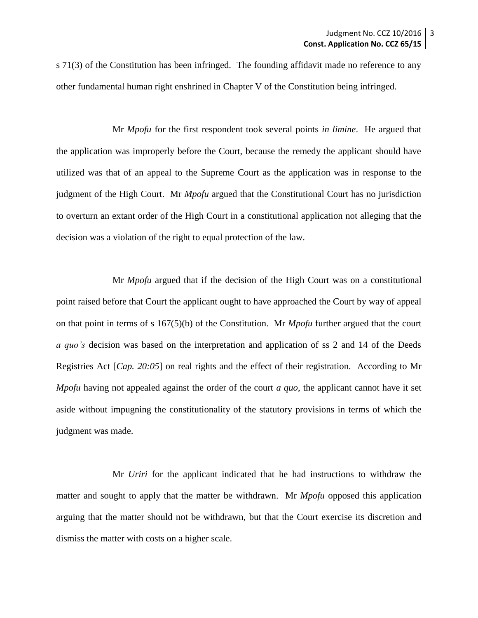s 71(3) of the Constitution has been infringed. The founding affidavit made no reference to any other fundamental human right enshrined in Chapter V of the Constitution being infringed.

Mr *Mpofu* for the first respondent took several points *in limine*. He argued that the application was improperly before the Court, because the remedy the applicant should have utilized was that of an appeal to the Supreme Court as the application was in response to the judgment of the High Court. Mr *Mpofu* argued that the Constitutional Court has no jurisdiction to overturn an extant order of the High Court in a constitutional application not alleging that the decision was a violation of the right to equal protection of the law.

Mr *Mpofu* argued that if the decision of the High Court was on a constitutional point raised before that Court the applicant ought to have approached the Court by way of appeal on that point in terms of s 167(5)(b) of the Constitution. Mr *Mpofu* further argued that the court *a quo's* decision was based on the interpretation and application of ss 2 and 14 of the Deeds Registries Act [*Cap. 20:05*] on real rights and the effect of their registration. According to Mr *Mpofu* having not appealed against the order of the court *a quo*, the applicant cannot have it set aside without impugning the constitutionality of the statutory provisions in terms of which the judgment was made.

Mr *Uriri* for the applicant indicated that he had instructions to withdraw the matter and sought to apply that the matter be withdrawn. Mr *Mpofu* opposed this application arguing that the matter should not be withdrawn, but that the Court exercise its discretion and dismiss the matter with costs on a higher scale.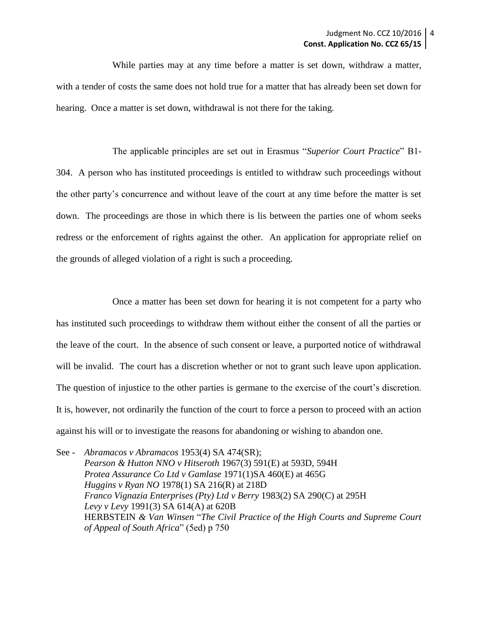While parties may at any time before a matter is set down, withdraw a matter, with a tender of costs the same does not hold true for a matter that has already been set down for hearing. Once a matter is set down, withdrawal is not there for the taking.

The applicable principles are set out in Erasmus "*Superior Court Practice*" B1- 304. A person who has instituted proceedings is entitled to withdraw such proceedings without the other party's concurrence and without leave of the court at any time before the matter is set down. The proceedings are those in which there is lis between the parties one of whom seeks redress or the enforcement of rights against the other. An application for appropriate relief on the grounds of alleged violation of a right is such a proceeding.

Once a matter has been set down for hearing it is not competent for a party who has instituted such proceedings to withdraw them without either the consent of all the parties or the leave of the court. In the absence of such consent or leave, a purported notice of withdrawal will be invalid. The court has a discretion whether or not to grant such leave upon application. The question of injustice to the other parties is germane to the exercise of the court's discretion. It is, however, not ordinarily the function of the court to force a person to proceed with an action against his will or to investigate the reasons for abandoning or wishing to abandon one.

See *- Abramacos v Abramacos* 1953(4) SA 474(SR); *Pearson & Hutton NNO v Hitseroth* 1967(3) 591(E) at 593D, 594H *Protea Assurance Co Ltd v Gamlase* 1971(1)SA 460(E) at 465G *Huggins v Ryan NO* 1978(1) SA 216(R) at 218D *Franco Vignazia Enterprises (Pty) Ltd v Berry* 1983(2) SA 290(C) at 295H *Levy v Levy* 1991(3) SA 614(A) at 620B HERBSTEIN *& Van Winsen* "*The Civil Practice of the High Courts and Supreme Court of Appeal of South Africa*" (5ed) p 750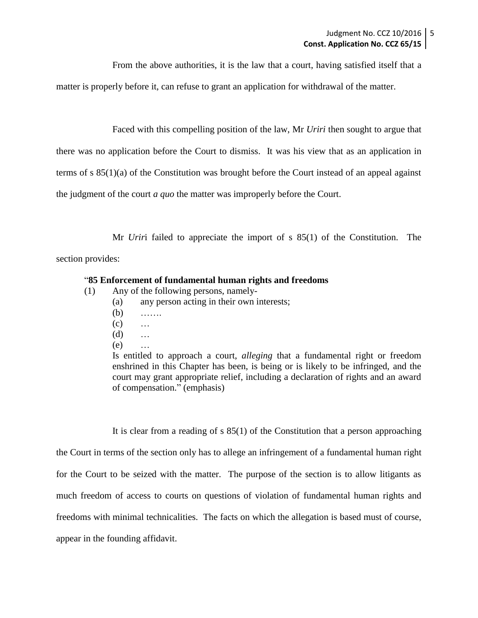From the above authorities, it is the law that a court, having satisfied itself that a

matter is properly before it, can refuse to grant an application for withdrawal of the matter.

Faced with this compelling position of the law, Mr *Uriri* then sought to argue that

there was no application before the Court to dismiss. It was his view that as an application in

terms of s 85(1)(a) of the Constitution was brought before the Court instead of an appeal against

the judgment of the court *a quo* the matter was improperly before the Court.

Mr *Urir*i failed to appreciate the import of s 85(1) of the Constitution. The

section provides:

### "**85 Enforcement of fundamental human rights and freedoms**

- (1) Any of the following persons, namely-
	- (a) any person acting in their own interests;
	- (b) …….
	- $(c)$  …
	- (d) …
	- (e) …

Is entitled to approach a court, *alleging* that a fundamental right or freedom enshrined in this Chapter has been, is being or is likely to be infringed, and the court may grant appropriate relief, including a declaration of rights and an award of compensation." (emphasis)

It is clear from a reading of s 85(1) of the Constitution that a person approaching the Court in terms of the section only has to allege an infringement of a fundamental human right for the Court to be seized with the matter. The purpose of the section is to allow litigants as much freedom of access to courts on questions of violation of fundamental human rights and freedoms with minimal technicalities. The facts on which the allegation is based must of course, appear in the founding affidavit.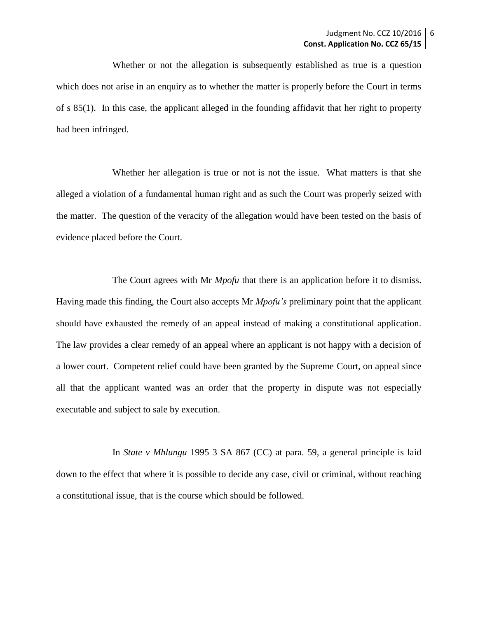Whether or not the allegation is subsequently established as true is a question which does not arise in an enquiry as to whether the matter is properly before the Court in terms of s 85(1). In this case, the applicant alleged in the founding affidavit that her right to property had been infringed.

Whether her allegation is true or not is not the issue. What matters is that she alleged a violation of a fundamental human right and as such the Court was properly seized with the matter. The question of the veracity of the allegation would have been tested on the basis of evidence placed before the Court.

The Court agrees with Mr *Mpofu* that there is an application before it to dismiss. Having made this finding, the Court also accepts Mr *Mpofu's* preliminary point that the applicant should have exhausted the remedy of an appeal instead of making a constitutional application. The law provides a clear remedy of an appeal where an applicant is not happy with a decision of a lower court. Competent relief could have been granted by the Supreme Court, on appeal since all that the applicant wanted was an order that the property in dispute was not especially executable and subject to sale by execution.

In *State v Mhlungu* 1995 3 SA 867 (CC) at para. 59, a general principle is laid down to the effect that where it is possible to decide any case, civil or criminal, without reaching a constitutional issue, that is the course which should be followed.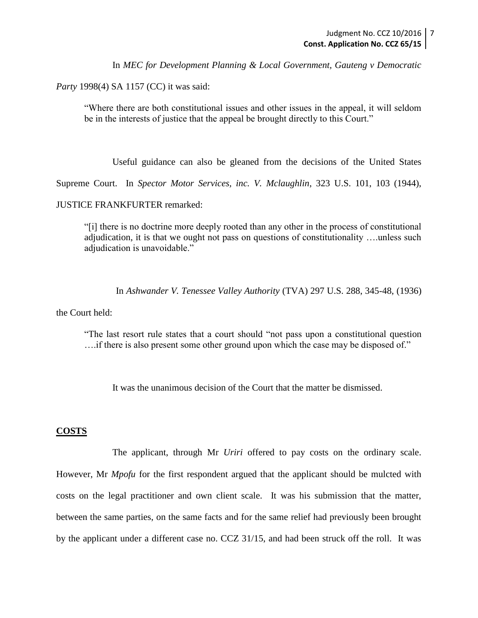In *MEC for Development Planning & Local Government, Gauteng v Democratic* 

*Party* 1998(4) SA 1157 (CC) it was said:

"Where there are both constitutional issues and other issues in the appeal, it will seldom be in the interests of justice that the appeal be brought directly to this Court."

Useful guidance can also be gleaned from the decisions of the United States

Supreme Court. In *Spector Motor Services, inc. V. Mclaughlin*, 323 U.S. 101, 103 (1944),

JUSTICE FRANKFURTER remarked:

"[i] there is no doctrine more deeply rooted than any other in the process of constitutional adjudication, it is that we ought not pass on questions of constitutionality ….unless such adjudication is unavoidable."

In *Ashwander V. Tenessee Valley Authority* (TVA) 297 U.S. 288, 345-48, (1936)

the Court held:

"The last resort rule states that a court should "not pass upon a constitutional question ….if there is also present some other ground upon which the case may be disposed of."

It was the unanimous decision of the Court that the matter be dismissed.

### **COSTS**

The applicant, through Mr *Uriri* offered to pay costs on the ordinary scale. However, Mr *Mpofu* for the first respondent argued that the applicant should be mulcted with costs on the legal practitioner and own client scale. It was his submission that the matter, between the same parties, on the same facts and for the same relief had previously been brought by the applicant under a different case no. CCZ 31/15, and had been struck off the roll. It was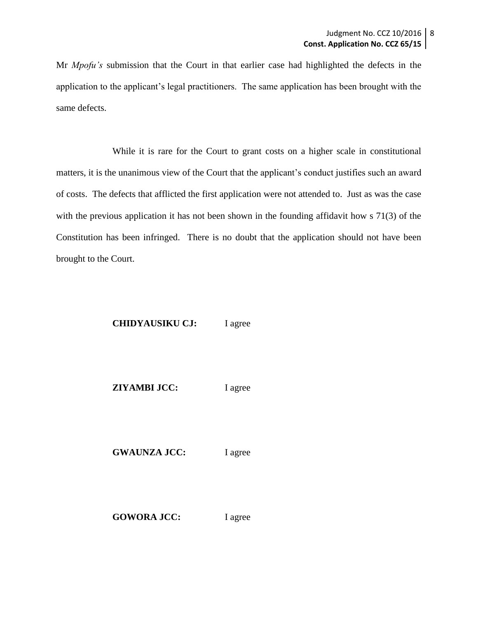Mr *Mpofu's* submission that the Court in that earlier case had highlighted the defects in the application to the applicant's legal practitioners. The same application has been brought with the same defects.

While it is rare for the Court to grant costs on a higher scale in constitutional matters, it is the unanimous view of the Court that the applicant's conduct justifies such an award of costs. The defects that afflicted the first application were not attended to. Just as was the case with the previous application it has not been shown in the founding affidavit how s 71(3) of the Constitution has been infringed. There is no doubt that the application should not have been brought to the Court.

## **CHIDYAUSIKU CJ:** I agree

**ZIYAMBI JCC:** I agree

**GWAUNZA JCC:** I agree

GOWORA JCC: I agree